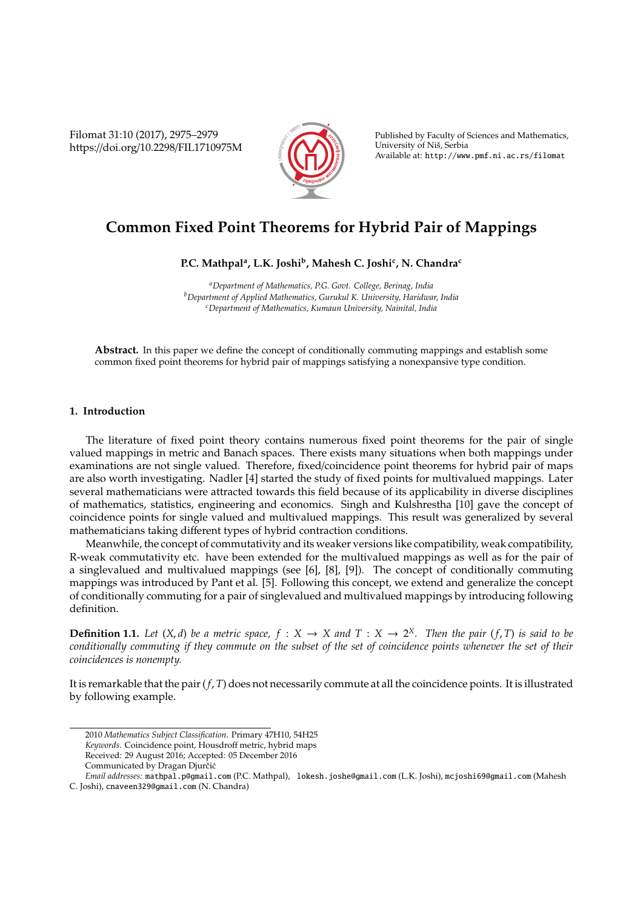Filomat 31:10 (2017), 2975–2979 https://doi.org/10.2298/FIL1710975M



Published by Faculty of Sciences and Mathematics, University of Niš, Serbia Available at: http://www.pmf.ni.ac.rs/filomat

## **Common Fixed Point Theorems for Hybrid Pair of Mappings**

**P.C. Mathpal<sup>a</sup> , L.K. Joshi<sup>b</sup> , Mahesh C. Joshi<sup>c</sup> , N. Chandra<sup>c</sup>**

*<sup>a</sup>Department of Mathematics, P.G. Govt. College, Berinag, India <sup>b</sup>Department of Applied Mathematics, Gurukul K. University, Haridwar, India <sup>c</sup>Department of Mathematics, Kumaun University, Nainital, India*

**Abstract.** In this paper we define the concept of conditionally commuting mappings and establish some common fixed point theorems for hybrid pair of mappings satisfying a nonexpansive type condition.

## **1. Introduction**

The literature of fixed point theory contains numerous fixed point theorems for the pair of single valued mappings in metric and Banach spaces. There exists many situations when both mappings under examinations are not single valued. Therefore, fixed/coincidence point theorems for hybrid pair of maps are also worth investigating. Nadler [4] started the study of fixed points for multivalued mappings. Later several mathematicians were attracted towards this field because of its applicability in diverse disciplines of mathematics, statistics, engineering and economics. Singh and Kulshrestha [10] gave the concept of coincidence points for single valued and multivalued mappings. This result was generalized by several mathematicians taking different types of hybrid contraction conditions.

Meanwhile, the concept of commutativity and its weaker versions like compatibility, weak compatibility, R-weak commutativity etc. have been extended for the multivalued mappings as well as for the pair of a singlevalued and multivalued mappings (see [6], [8], [9]). The concept of conditionally commuting mappings was introduced by Pant et al. [5]. Following this concept, we extend and generalize the concept of conditionally commuting for a pair of singlevalued and multivalued mappings by introducing following definition.

**Definition 1.1.** Let  $(X, d)$  be a metric space,  $f : X \to X$  and  $T : X \to 2^X$ . Then the pair  $(f, T)$  is said to be *conditionally commuting if they commute on the subset of the set of coincidence points whenever the set of their coincidences is nonempty.*

It is remarkable that the pair (*f*, *T*) does not necessarily commute at all the coincidence points. It is illustrated by following example.

<sup>2010</sup> *Mathematics Subject Classification*. Primary 47H10, 54H25 *Keywords*. Coincidence point, Housdroff metric, hybrid maps Received: 29 August 2016; Accepted: 05 December 2016

Communicated by Dragan Djurčić

*Email addresses:* mathpal.p@gmail.com (P.C. Mathpal), lokesh.joshe@gmail.com (L.K. Joshi), mcjoshi69@gmail.com (Mahesh C. Joshi), cnaveen329@gmail.com (N. Chandra)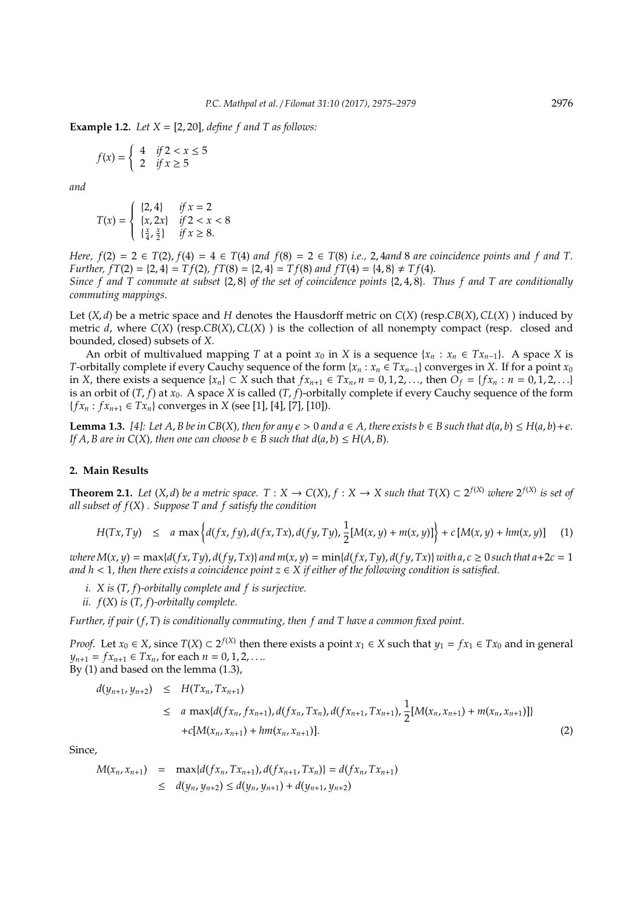**Example 1.2.** *Let*  $X = [2, 20]$ *, define f and*  $T$  *as follows:* 

$$
f(x) = \begin{cases} 4 & \text{if } 2 < x \le 5 \\ 2 & \text{if } x \ge 5 \end{cases}
$$

*and*

$$
T(x) = \begin{cases} \{2, 4\} & \text{if } x = 2\\ \{x, 2x\} & \text{if } 2 < x < 8\\ \{\frac{x}{4}, \frac{x}{2}\} & \text{if } x \ge 8. \end{cases}
$$

*Here, f*(2) = 2  $\in$  *T*(2), *f*(4) = 4  $\in$  *T*(4) *and f*(8) = 2  $\in$  *T*(8) *i.e.*, 2, 4*and* 8 *are coincidence points and f and T. Further,*  $f(T(2) = \{2, 4\} = Tf(2)$ ,  $f(T(8) = \{2, 4\} = Tf(8)$  and  $f(T(4) = \{4, 8\} \neq Tf(4)$ .

*Since f and T commute at subset* {2, 8} *of the set of coincidence points* {2, 4, 8}*. Thus f and T are conditionally commuting mappings.*

Let (*X*, *d*) be a metric space and *H* denotes the Hausdorff metric on *C*(*X*) (resp.*CB*(*X*),*CL*(*X*) ) induced by metric *d*, where *C*(*X*) (resp.*CB*(*X*),*CL*(*X*) ) is the collection of all nonempty compact (resp. closed and bounded, closed) subsets of *X*.

An orbit of multivalued mapping *T* at a point  $x_0$  in *X* is a sequence  $\{x_n : x_n \in Tx_{n-1}\}\$ . A space *X* is *T*-orbitally complete if every Cauchy sequence of the form { $x_n : x_n \in Tx_{n-1}$ } converges in *X*. If for a point  $x_0$ in *X*, there exists a sequence  $\{x_n\}$  ⊂ *X* such that  $fx_{n+1}$  ∈  $Tx_n$ ,  $n = 0, 1, 2, \ldots$ , then  $O_f = \{fx_n : n = 0, 1, 2, \ldots\}$ is an orbit of  $(T, f)$  at  $x_0$ . A space *X* is called  $(T, f)$ -orbitally complete if every Cauchy sequence of the form  ${f x<sub>n</sub> : f x<sub>n+1</sub> ∈ Tx<sub>n</sub>}$  converges in *X* (see [1], [4], [7], [10]).

**Lemma 1.3.** [4]: Let A, B be in CB(X), then for any  $\epsilon > 0$  and  $a \in A$ , there exists  $b \in B$  such that  $d(a, b) ≤ H(a, b) + \epsilon$ . *If*  $A$ ,  $B$  are in  $C(X)$ , then one can choose  $b \in B$  such that  $d(a, b) \leq H(A, B)$ .

## **2. Main Results**

**Theorem 2.1.** Let  $(X, d)$  be a metric space.  $T : X \to C(X)$ ,  $f : X \to X$  such that  $T(X) \subset 2^{f(X)}$  where  $2^{f(X)}$  is set of *all subset of f*(*X*) *. Suppose T and f satisfy the condition*

$$
H(Tx, Ty) \le a \max \Big\{ d(fx, fy), d(fx, Tx), d(fy, Ty), \frac{1}{2}[M(x, y) + m(x, y)] \Big\} + c \left[ M(x, y) + h m(x, y) \right] \tag{1}
$$

where  $M(x, y) = \max\{d(fx, Ty), d(fy, Tx)\}\$ and  $m(x, y) = \min\{d(fx, Ty), d(fy, Tx)\}\$ with  $a, c \ge 0$  such that  $a+2c = 1$ *and h* < 1*, then there exists a coincidence point*  $z \in X$  *if either of the following condition is satisfied.* 

- *i. X is* (*T*, *f*)*-orbitally complete and f is surjective.*
- *ii. f*(*X*) *is* (*T*, *f*)*-orbitally complete.*

*Further, if pair* (*f*, *T*) *is conditionally commuting, then f and T have a common fixed point.*

*Proof.* Let *x*<sup>0</sup> ∈ *X*, since *T*(*X*) ⊂ 2<sup>*f*(*X*)</sup> then there exists a point *x*<sub>1</sub> ∈ *X* such that *y*<sub>1</sub> = *fx*<sub>1</sub> ∈ *Tx*<sup>0</sup> and in general  $y_{n+1} = fx_{n+1} \in Tx_n$ , for each  $n = 0, 1, 2, \ldots$ By (1) and based on the lemma (1.3),

 $+c[M(x_n, x_{n+1}) + hm(x_n, x_{n+1})].$  (2)

$$
d(y_{n+1}, y_{n+2}) \leq H(Tx_n, Tx_{n+1})
$$
  
 
$$
\leq a \max\{d(fx_n, fx_{n+1}), d(fx_n, Tx_n), d(fx_{n+1}, Tx_{n+1}), \frac{1}{2}[M(x_n, x_{n+1}) + m(x_n, x_{n+1})]\}
$$

Since,

$$
M(x_n, x_{n+1}) = \max\{d(fx_n, Tx_{n+1}), d(fx_{n+1}, Tx_n)\} = d(fx_n, Tx_{n+1})
$$
  
\n
$$
\leq d(y_n, y_{n+2}) \leq d(y_n, y_{n+1}) + d(y_{n+1}, y_{n+2})
$$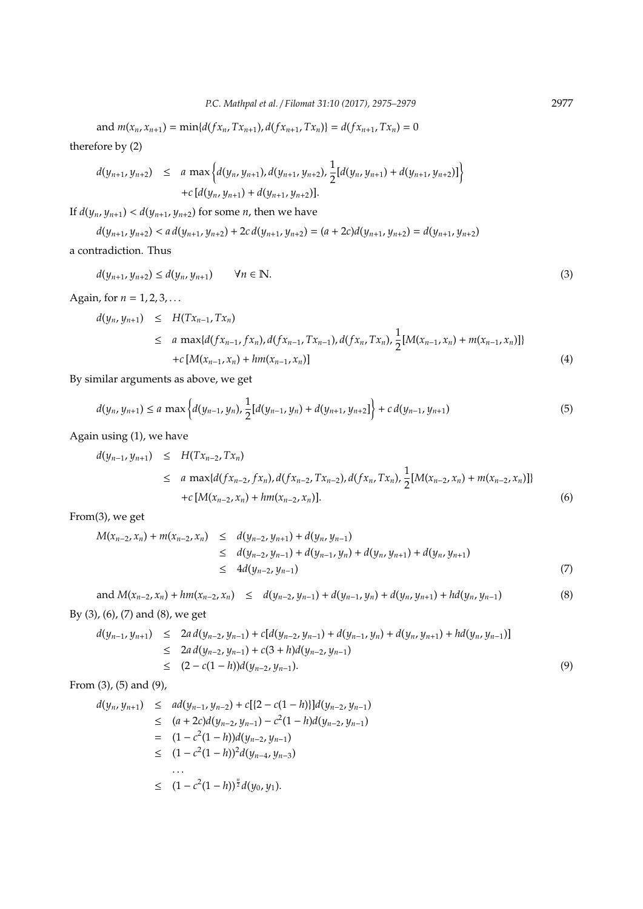and  $m(x_n, x_{n+1}) = \min\{d(fx_n, Tx_{n+1}), d(fx_{n+1}, Tx_n)\} = d(fx_{n+1}, Tx_n) = 0$ therefore by (2)

$$
d(y_{n+1}, y_{n+2}) \leq a \max \Big\{ d(y_n, y_{n+1}), d(y_{n+1}, y_{n+2}), \frac{1}{2} [d(y_n, y_{n+1}) + d(y_{n+1}, y_{n+2})] \Big\} + c [d(y_n, y_{n+1}) + d(y_{n+1}, y_{n+2})].
$$

If  $d(y_n, y_{n+1}) < d(y_{n+1}, y_{n+2})$  for some *n*, then we have

 $d(y_{n+1}, y_{n+2}) < a d(y_{n+1}, y_{n+2}) + 2c d(y_{n+1}, y_{n+2}) = (a + 2c)d(y_{n+1}, y_{n+2}) = d(y_{n+1}, y_{n+2})$ a contradiction. Thus

$$
d(y_{n+1}, y_{n+2}) \le d(y_n, y_{n+1}) \qquad \forall n \in \mathbb{N}.
$$
 (3)

Again, for  $n = 1, 2, 3, ...$ 

$$
d(y_n, y_{n+1}) \leq H(Tx_{n-1}, Tx_n)
$$
  
\n
$$
\leq a \max\{d(fx_{n-1}, fx_n), d(fx_{n-1}, Tx_{n-1}), d(fx_n, Tx_n), \frac{1}{2}[M(x_{n-1}, x_n) + m(x_{n-1}, x_n)]\}
$$
  
\n
$$
+ c [M(x_{n-1}, x_n) + hm(x_{n-1}, x_n)] \tag{4}
$$

By similar arguments as above, we get

$$
d(y_n, y_{n+1}) \le a \max \left\{ d(y_{n-1}, y_n), \frac{1}{2} [d(y_{n-1}, y_n) + d(y_{n+1}, y_{n+2})] \right\} + c d(y_{n-1}, y_{n+1}) \tag{5}
$$

Again using (1), we have

$$
d(y_{n-1}, y_{n+1}) \leq H(Tx_{n-2}, Tx_n)
$$
  
\n
$$
\leq a \max\{d(fx_{n-2}, fx_n), d(fx_{n-2}, Tx_{n-2}), d(fx_n, Tx_n), \frac{1}{2}[M(x_{n-2}, x_n) + m(x_{n-2}, x_n)]\}
$$
  
\n
$$
+ c \left[M(x_{n-2}, x_n) + hm(x_{n-2}, x_n)\right].
$$
 (6)

From(3), we get

$$
M(x_{n-2}, x_n) + m(x_{n-2}, x_n) \le d(y_{n-2}, y_{n+1}) + d(y_n, y_{n-1})
$$
  
\n
$$
\le d(y_{n-2}, y_{n-1}) + d(y_{n-1}, y_n) + d(y_n, y_{n+1}) + d(y_n, y_{n+1})
$$
  
\n
$$
\le 4d(y_{n-2}, y_{n-1})
$$
\n(7)

and 
$$
M(x_{n-2}, x_n) + hm(x_{n-2}, x_n) \le d(y_{n-2}, y_{n-1}) + d(y_{n-1}, y_n) + d(y_n, y_{n+1}) + hd(y_n, y_{n-1})
$$
 (8)  
By (3), (6), (7) and (8), we get

$$
L_{1}(0,1)(0,1) = 0.1
$$

$$
d(y_{n-1}, y_{n+1}) \le 2a d(y_{n-2}, y_{n-1}) + c[d(y_{n-2}, y_{n-1}) + d(y_{n-1}, y_n) + d(y_n, y_{n+1}) + hd(y_n, y_{n-1})]
$$
  
\n
$$
\le 2a d(y_{n-2}, y_{n-1}) + c(3 + h)d(y_{n-2}, y_{n-1})
$$
  
\n
$$
\le (2 - c(1 - h))d(y_{n-2}, y_{n-1}).
$$
\n(9)

From (3), (5) and (9),

$$
d(y_n, y_{n+1}) \leq ad(y_{n-1}, y_{n-2}) + c[(2 - c(1 - h))]d(y_{n-2}, y_{n-1})
$$
  
\n
$$
\leq (a + 2c)d(y_{n-2}, y_{n-1}) - c^2(1 - h)d(y_{n-2}, y_{n-1})
$$
  
\n
$$
= (1 - c^2(1 - h))d(y_{n-2}, y_{n-1})
$$
  
\n
$$
\leq (1 - c^2(1 - h))^2d(y_{n-4}, y_{n-3})
$$
  
\n...  
\n
$$
\leq (1 - c^2(1 - h))^{\frac{n}{2}}d(y_0, y_1).
$$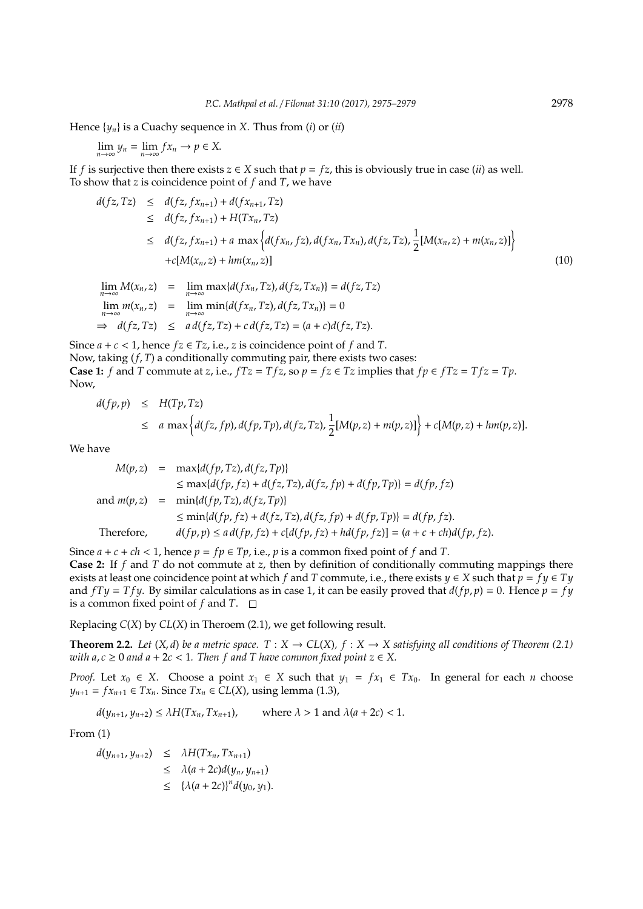Hence  $\{y_n\}$  is a Cuachy sequence in *X*. Thus from (*i*) or (*ii*)

$$
\lim_{n\to\infty}y_n=\lim_{n\to\infty}fx_n\to p\in X.
$$

If *f* is surjective then there exists  $z \in X$  such that  $p = fz$ , this is obviously true in case (*ii*) as well. To show that *z* is coincidence point of *f* and *T*, we have

$$
d(fz, Tz) \leq d(fz, fx_{n+1}) + d(fx_{n+1}, Tz)
$$
  
\n
$$
\leq d(fz, fx_{n+1}) + H(Tx_n, Tz)
$$
  
\n
$$
\leq d(fz, fx_{n+1}) + a \max \{d(fx_n, fz), d(fx_n, Tx_n), d(fz, Tz), \frac{1}{2}[M(x_n, z) + m(x_n, z)]\}
$$
  
\n
$$
+ c[M(x_n, z) + hm(x_n, z)]
$$
\n(10)

$$
\lim_{n \to \infty} M(x_n, z) = \lim_{n \to \infty} \max\{d(fx_n, Tz), d(fz, Tx_n)\} = d(fz, Tz)
$$
\n
$$
\lim_{n \to \infty} m(x_n, z) = \lim_{n \to \infty} \min\{d(fx_n, Tz), d(fz, Tx_n)\} = 0
$$
\n
$$
\Rightarrow d(fz, Tz) \leq a d(fz, Tz) + c d(fz, Tz) = (a + c)d(fz, Tz).
$$

Since  $a + c < 1$ , hence  $fz \in Tz$ , i.e., *z* is coincidence point of  $f$  and  $T$ . Now, taking (*f*, *T*) a conditionally commuting pair, there exists two cases: **Case 1:** *f* and *T* commute at *z*, i.e.,  $fTz = Tfz$ , so  $p = fz \in Tz$  implies that  $fp \in fTz = Tfz = Tp$ . Now,

$$
d(fp, p) \leq H(Tp, Tz)
$$
  
\n
$$
\leq a \max \left\{ d(fz, fp), d(fp, Tp), d(fz, Tz), \frac{1}{2}[M(p, z) + m(p, z)] \right\} + c[M(p, z) + hm(p, z)].
$$

We have

$$
M(p, z) = \max\{d(fp, Tz), d(fz, Tp)\}
$$
  
\n
$$
\leq \max\{d(fp, fz) + d(fz, Tz), d(fz, fp) + d(fp, Tp)\} = d(fp, fz)
$$
  
\nand  $m(p, z) = \min\{d(fp, Tz), d(fz, Tp)\}$   
\n
$$
\leq \min\{d(fp, fz) + d(fz, Tz), d(fz, fp) + d(fp, Tp)\} = d(fp, fz).
$$
  
\nTherefore,  $d(fp, p) \leq a\,(fp, fz) + c[d(fp, fz) + hd(fp, fz)] = (a + c + ch)d(fp, fz).$ 

Since  $a + c + ch < 1$ , hence  $p = fp \in Tp$ , i.e., p is a common fixed point of f and T. **Case 2:** If *f* and *T* do not commute at *z*, then by definition of conditionally commuting mappings there exists at least one coincidence point at which *f* and *T* commute, i.e., there exists  $y \in X$  such that  $p = fy \in Ty$ and  $fTy = Tfy$ . By similar calculations as in case 1, it can be easily proved that  $d(fp, p) = 0$ . Hence  $p = fy$ is a common fixed point of *f* and *T*.  $\square$ 

Replacing *C*(*X*) by *CL*(*X*) in Theroem (2.1), we get following result.

**Theorem 2.2.** *Let*  $(X, d)$  *be a metric space.*  $T : X \to CL(X)$ ,  $f : X \to X$  *satisfying all conditions of Theorem* (2.1) *with a*,  $c \ge 0$  *and a* + 2 $c$  < 1. Then f and T have common fixed point  $z \in X$ .

*Proof.* Let  $x_0 \in X$ . Choose a point  $x_1 \in X$  such that  $y_1 = fx_1 \in Tx_0$ . In general for each *n* choose *y*<sub>*n*+1</sub> = *fx*<sub>*n*+1</sub> ∈ *Tx*<sub>*n*</sub>. Since *Tx*<sub>*n*</sub> ∈ *CL*(*X*), using lemma (1.3),

$$
d(y_{n+1}, y_{n+2}) \le \lambda H(Tx_n, Tx_{n+1}), \qquad \text{where } \lambda > 1 \text{ and } \lambda(a + 2c) < 1.
$$

From (1)

 $d(y_{n+1}, y_{n+2}) \leq \lambda H(Tx_n, Tx_{n+1})$  $\leq \lambda(a+2c)d(y_n,y_{n+1})$  $\leq {\lambda(a+2c)}^n d(y_0, y_1).$